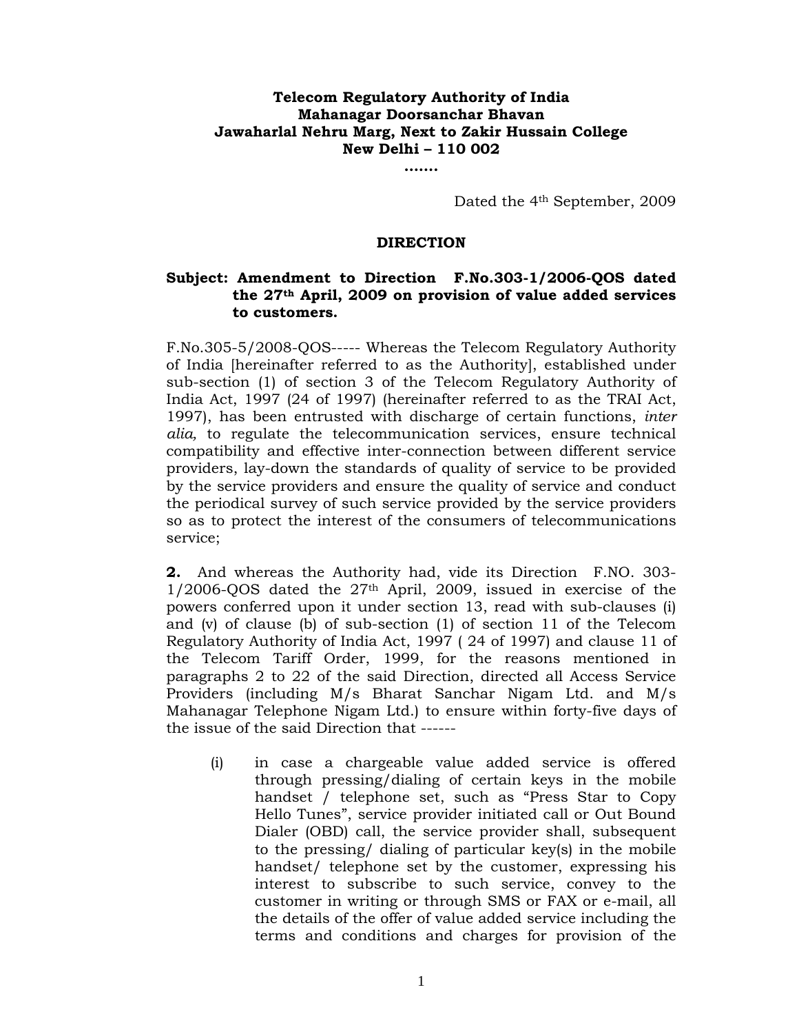## **Telecom Regulatory Authority of India Mahanagar Doorsanchar Bhavan Jawaharlal Nehru Marg, Next to Zakir Hussain College New Delhi – 110 002**

**…….** 

Dated the 4th September, 2009

## **DIRECTION**

## **Subject: Amendment to Direction F.No.303-1/2006-QOS dated the 27th April, 2009 on provision of value added services to customers.**

F.No.305-5/2008-QOS----- Whereas the Telecom Regulatory Authority of India [hereinafter referred to as the Authority], established under sub-section (1) of section 3 of the Telecom Regulatory Authority of India Act, 1997 (24 of 1997) (hereinafter referred to as the TRAI Act, 1997), has been entrusted with discharge of certain functions, *inter alia,* to regulate the telecommunication services, ensure technical compatibility and effective inter-connection between different service providers, lay-down the standards of quality of service to be provided by the service providers and ensure the quality of service and conduct the periodical survey of such service provided by the service providers so as to protect the interest of the consumers of telecommunications service;

**2.** And whereas the Authority had, vide its Direction F.NO. 303-  $1/2006$ -OOS dated the  $27<sup>th</sup>$  April, 2009, issued in exercise of the powers conferred upon it under section 13, read with sub-clauses (i) and (v) of clause (b) of sub-section (1) of section 11 of the Telecom Regulatory Authority of India Act, 1997 ( 24 of 1997) and clause 11 of the Telecom Tariff Order, 1999, for the reasons mentioned in paragraphs 2 to 22 of the said Direction, directed all Access Service Providers (including M/s Bharat Sanchar Nigam Ltd. and M/s Mahanagar Telephone Nigam Ltd.) to ensure within forty-five days of the issue of the said Direction that ------

(i) in case a chargeable value added service is offered through pressing/dialing of certain keys in the mobile handset / telephone set, such as "Press Star to Copy Hello Tunes", service provider initiated call or Out Bound Dialer (OBD) call, the service provider shall, subsequent to the pressing/ dialing of particular key(s) in the mobile handset/ telephone set by the customer, expressing his interest to subscribe to such service, convey to the customer in writing or through SMS or FAX or e-mail, all the details of the offer of value added service including the terms and conditions and charges for provision of the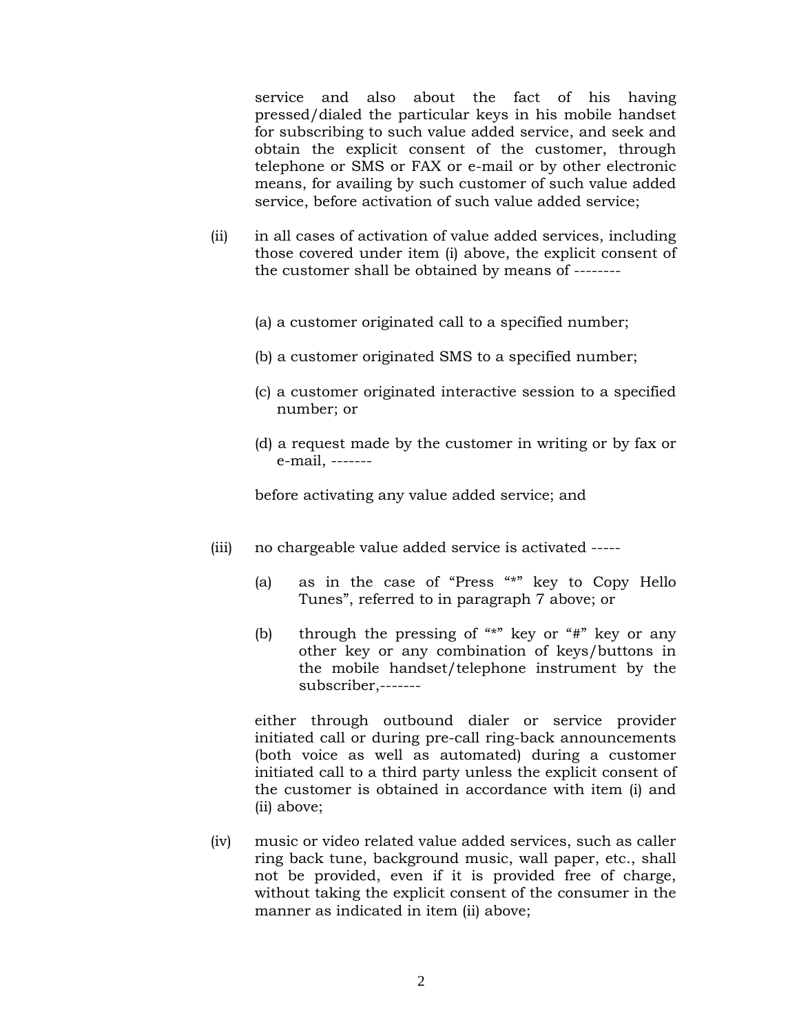service and also about the fact of his having pressed/dialed the particular keys in his mobile handset for subscribing to such value added service, and seek and obtain the explicit consent of the customer, through telephone or SMS or FAX or e-mail or by other electronic means, for availing by such customer of such value added service, before activation of such value added service;

- (ii) in all cases of activation of value added services, including those covered under item (i) above, the explicit consent of the customer shall be obtained by means of --------
	- (a) a customer originated call to a specified number;
	- (b) a customer originated SMS to a specified number;
	- (c) a customer originated interactive session to a specified number; or
	- (d) a request made by the customer in writing or by fax or e-mail, -------

before activating any value added service; and

- (iii) no chargeable value added service is activated -----
	- (a) as in the case of "Press "\*" key to Copy Hello Tunes", referred to in paragraph 7 above; or
	- (b) through the pressing of  $**"$  key or  $**"$  key or any other key or any combination of keys/buttons in the mobile handset/telephone instrument by the subscriber,-------

 either through outbound dialer or service provider initiated call or during pre-call ring-back announcements (both voice as well as automated) during a customer initiated call to a third party unless the explicit consent of the customer is obtained in accordance with item (i) and (ii) above;

(iv) music or video related value added services, such as caller ring back tune, background music, wall paper, etc., shall not be provided, even if it is provided free of charge, without taking the explicit consent of the consumer in the manner as indicated in item (ii) above;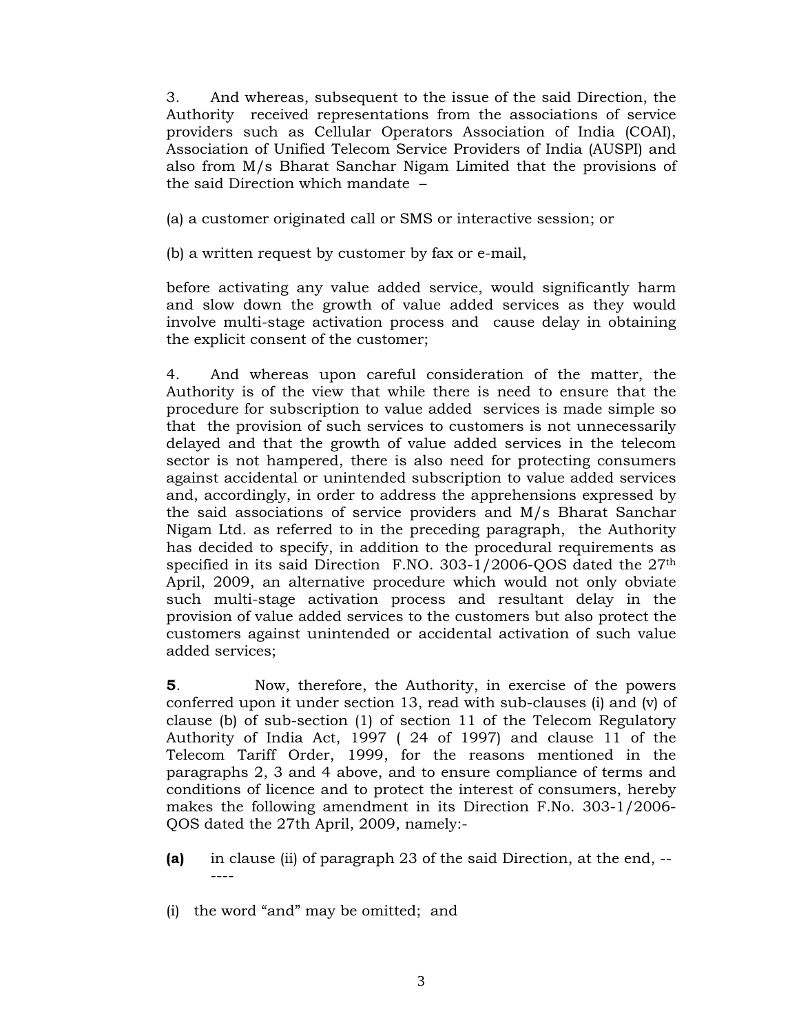3. And whereas, subsequent to the issue of the said Direction, the Authority received representations from the associations of service providers such as Cellular Operators Association of India (COAI), Association of Unified Telecom Service Providers of India (AUSPI) and also from M/s Bharat Sanchar Nigam Limited that the provisions of the said Direction which mandate –

(a) a customer originated call or SMS or interactive session; or

(b) a written request by customer by fax or e-mail,

before activating any value added service, would significantly harm and slow down the growth of value added services as they would involve multi-stage activation process and cause delay in obtaining the explicit consent of the customer;

4. And whereas upon careful consideration of the matter, the Authority is of the view that while there is need to ensure that the procedure for subscription to value added services is made simple so that the provision of such services to customers is not unnecessarily delayed and that the growth of value added services in the telecom sector is not hampered, there is also need for protecting consumers against accidental or unintended subscription to value added services and, accordingly, in order to address the apprehensions expressed by the said associations of service providers and M/s Bharat Sanchar Nigam Ltd. as referred to in the preceding paragraph, the Authority has decided to specify, in addition to the procedural requirements as specified in its said Direction F.NO. 303-1/2006-QOS dated the 27th April, 2009, an alternative procedure which would not only obviate such multi-stage activation process and resultant delay in the provision of value added services to the customers but also protect the customers against unintended or accidental activation of such value added services;

**5**. Now, therefore, the Authority, in exercise of the powers conferred upon it under section 13, read with sub-clauses (i) and (v) of clause (b) of sub-section (1) of section 11 of the Telecom Regulatory Authority of India Act, 1997 ( 24 of 1997) and clause 11 of the Telecom Tariff Order, 1999, for the reasons mentioned in the paragraphs 2, 3 and 4 above, and to ensure compliance of terms and conditions of licence and to protect the interest of consumers, hereby makes the following amendment in its Direction F.No. 303-1/2006- QOS dated the 27th April, 2009, namely:-

- **(a)** in clause (ii) of paragraph 23 of the said Direction, at the end, -- ----
- (i) the word "and" may be omitted; and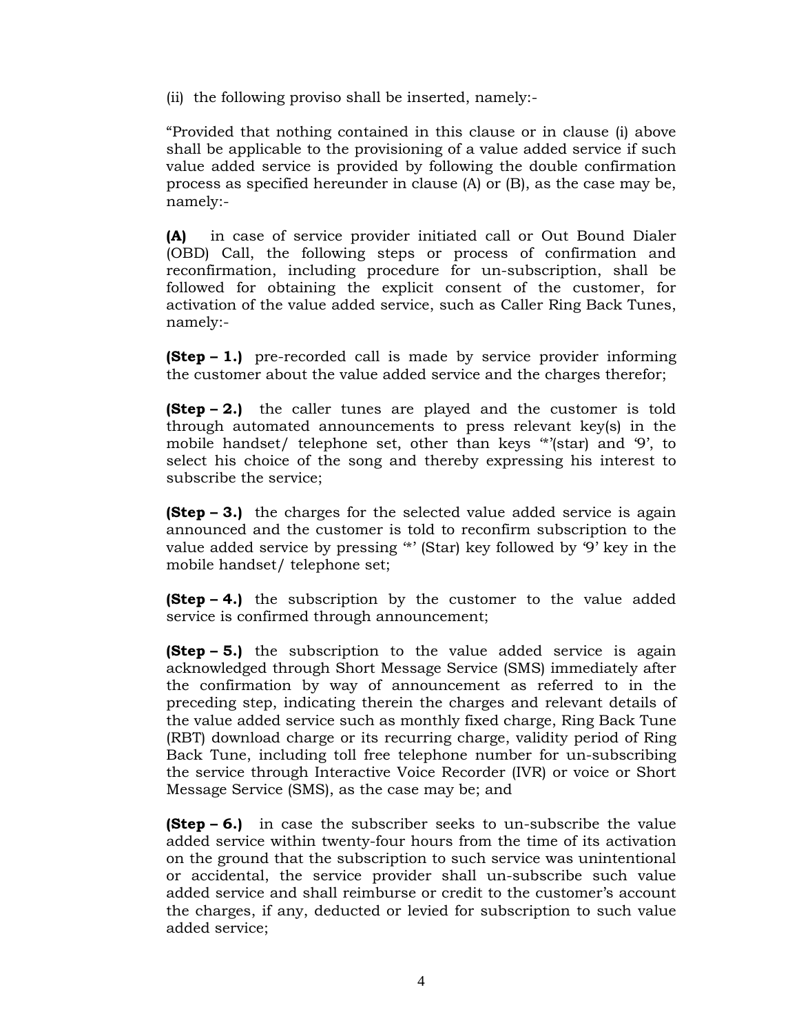(ii) the following proviso shall be inserted, namely:-

"Provided that nothing contained in this clause or in clause (i) above shall be applicable to the provisioning of a value added service if such value added service is provided by following the double confirmation process as specified hereunder in clause (A) or (B), as the case may be, namely:-

**(A)** in case of service provider initiated call or Out Bound Dialer (OBD) Call, the following steps or process of confirmation and reconfirmation, including procedure for un-subscription, shall be followed for obtaining the explicit consent of the customer, for activation of the value added service, such as Caller Ring Back Tunes, namely:-

**(Step – 1.)** pre-recorded call is made by service provider informing the customer about the value added service and the charges therefor;

**(Step – 2.)** the caller tunes are played and the customer is told through automated announcements to press relevant key(s) in the mobile handset/ telephone set, other than keys '\*'(star) and '9', to select his choice of the song and thereby expressing his interest to subscribe the service;

**(Step – 3.)** the charges for the selected value added service is again announced and the customer is told to reconfirm subscription to the value added service by pressing '\*' (Star) key followed by '9' key in the mobile handset/ telephone set;

**(Step – 4.)** the subscription by the customer to the value added service is confirmed through announcement;

**(Step – 5.)** the subscription to the value added service is again acknowledged through Short Message Service (SMS) immediately after the confirmation by way of announcement as referred to in the preceding step, indicating therein the charges and relevant details of the value added service such as monthly fixed charge, Ring Back Tune (RBT) download charge or its recurring charge, validity period of Ring Back Tune, including toll free telephone number for un-subscribing the service through Interactive Voice Recorder (IVR) or voice or Short Message Service (SMS), as the case may be; and

**(Step – 6.)** in case the subscriber seeks to un-subscribe the value added service within twenty-four hours from the time of its activation on the ground that the subscription to such service was unintentional or accidental, the service provider shall un-subscribe such value added service and shall reimburse or credit to the customer's account the charges, if any, deducted or levied for subscription to such value added service;